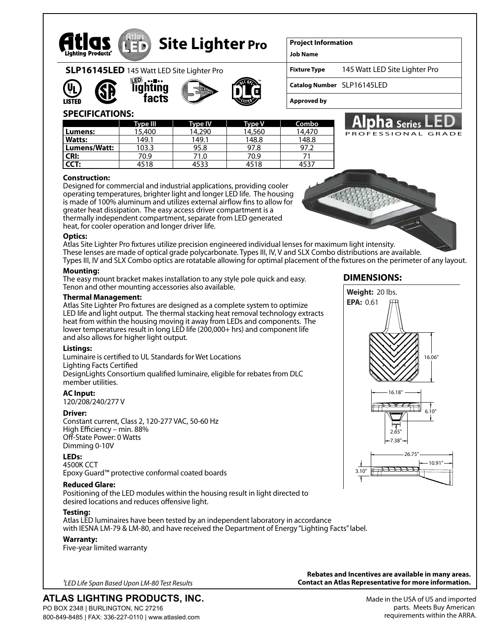

# **Site Lighter Pro**

**Project Information**

**Job Name**

**Fixture Type** 145 Watt LED Site Lighter Pro

PROFESSIONAL GRADE

**Catalog Number** SLP16145LED

**Approved by**

# **SPECIFICATIONS:**

**SLP16145LED** 145 Watt LED Site Lighter Pro

htına tacts

|               | <b>Type III</b> | <b>Type IV</b> | <b>Type V</b> | Combo  |
|---------------|-----------------|----------------|---------------|--------|
| Lumens:       | 15,400          | 14,290         | 14,560        | 14.470 |
| <b>Watts:</b> | 149.1           | 149.1          | 148.8         | 148.8  |
| Lumens/Watt:  | 103.3           | 95.8           | 97.8          | 97.2   |
| <b>CRI:</b>   | 70.9            | 71.0           | 70.9          |        |
| CCT:          | 4518            | 4533           | 4518          | 453.   |

#### **Construction:**

Designed for commercial and industrial applications, providing cooler operating temperatures, brighter light and longer LED life. The housing is made of 100% aluminum and utilizes external airflow fins to allow for greater heat dissipation. The easy access driver compartment is a thermally independent compartment, separate from LED generated heat, for cooler operation and longer driver life.

#### **Optics:**

Atlas Site Lighter Pro fixtures utilize precision engineered individual lenses for maximum light intensity. These lenses are made of optical grade polycarbonate. Types III, IV, V and SLX Combo distributions are available. Types III, IV and SLX Combo optics are rotatable allowing for optimal placement of the fixtures on the perimeter of any layout.

#### **Mounting:**

The easy mount bracket makes installation to any style pole quick and easy. Tenon and other mounting accessories also available.

#### **Thermal Management:**

Atlas Site Lighter Pro fixtures are designed as a complete system to optimize LED life and light output. The thermal stacking heat removal technology extracts heat from within the housing moving it away from LEDs and components. The lower temperatures result in long LED life (200,000+ hrs) and component life and also allows for higher light output.

### **Listings:**

Luminaire is certified to UL Standards for Wet Locations Lighting Facts Certified DesignLights Consortium qualified luminaire, eligible for rebates from DLC member utilities.

### **AC Input:**

120/208/240/277 V

### **Driver:**

Constant current, Class 2, 120-277 VAC, 50-60 Hz High Efficiency – min. 88% Off-State Power: 0 Watts Dimming 0-10V

## **LEDs:**

4500K CCT Epoxy Guard™ protective conformal coated boards

### **Reduced Glare:**

Positioning of the LED modules within the housing result in light directed to desired locations and reduces offensive light.

### **Testing:**

Atlas LED luminaires have been tested by an independent laboratory in accordance with IESNA LM-79 & LM-80, and have received the Department of Energy "Lighting Facts" label.

### **Warranty:**

Five-year limited warranty

*1LED Life Span Based Upon LM-80 Test Results*

## **ATLAS LIGHTING PRODUCTS, INC.** PO BOX 2348 | BURLINGTON, NC 27216

800-849-8485 | FAX: 336-227-0110 | www.atlasled.com

**Rebates and Incentives are available in many areas. Contact an Atlas Representative for more information.**

## **DIMENSIONS:**